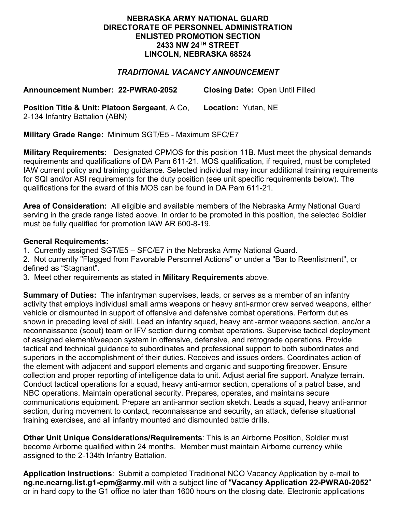## **NEBRASKA ARMY NATIONAL GUARD DIRECTORATE OF PERSONNEL ADMINISTRATION ENLISTED PROMOTION SECTION 2433 NW 24TH STREET LINCOLN, NEBRASKA 68524**

## *TRADITIONAL VACANCY ANNOUNCEMENT*

**Announcement Number: 22-PWRA0-2052 Closing Date:** Open Until Filled

**Position Title & Unit: Platoon Sergeant**, A Co, 2-134 Infantry Battalion (ABN) **Location:** Yutan, NE

**Military Grade Range:** Minimum SGT/E5 - Maximum SFC/E7

**Military Requirements:** Designated CPMOS for this position 11B. Must meet the physical demands requirements and qualifications of DA Pam 611-21. MOS qualification, if required, must be completed IAW current policy and training guidance. Selected individual may incur additional training requirements for SQI and/or ASI requirements for the duty position (see unit specific requirements below). The qualifications for the award of this MOS can be found in DA Pam 611-21.

**Area of Consideration:** All eligible and available members of the Nebraska Army National Guard serving in the grade range listed above. In order to be promoted in this position, the selected Soldier must be fully qualified for promotion IAW AR 600-8-19.

## **General Requirements:**

1. Currently assigned SGT/E5 – SFC/E7 in the Nebraska Army National Guard.

2. Not currently "Flagged from Favorable Personnel Actions" or under a "Bar to Reenlistment", or defined as "Stagnant".

3. Meet other requirements as stated in **Military Requirements** above.

**Summary of Duties:** The infantryman supervises, leads, or serves as a member of an infantry activity that employs individual small arms weapons or heavy anti-armor crew served weapons, either vehicle or dismounted in support of offensive and defensive combat operations. Perform duties shown in preceding level of skill. Lead an infantry squad, heavy anti-armor weapons section, and/or a reconnaissance (scout) team or IFV section during combat operations. Supervise tactical deployment of assigned element/weapon system in offensive, defensive, and retrograde operations. Provide tactical and technical guidance to subordinates and professional support to both subordinates and superiors in the accomplishment of their duties. Receives and issues orders. Coordinates action of the element with adjacent and support elements and organic and supporting firepower. Ensure collection and proper reporting of intelligence data to unit. Adjust aerial fire support. Analyze terrain. Conduct tactical operations for a squad, heavy anti-armor section, operations of a patrol base, and NBC operations. Maintain operational security. Prepares, operates, and maintains secure communications equipment. Prepare an anti-armor section sketch. Leads a squad, heavy anti-armor section, during movement to contact, reconnaissance and security, an attack, defense situational training exercises, and all infantry mounted and dismounted battle drills.

**Other Unit Unique Considerations/Requirements**: This is an Airborne Position, Soldier must become Airborne qualified within 24 months. Member must maintain Airborne currency while assigned to the 2-134th Infantry Battalion.

**Application Instructions**: Submit a completed Traditional NCO Vacancy Application by e-mail to **ng.ne.nearng.list.g1-epm@army.mil** with a subject line of "**Vacancy Application 22-PWRA0-2052**" or in hard copy to the G1 office no later than 1600 hours on the closing date. Electronic applications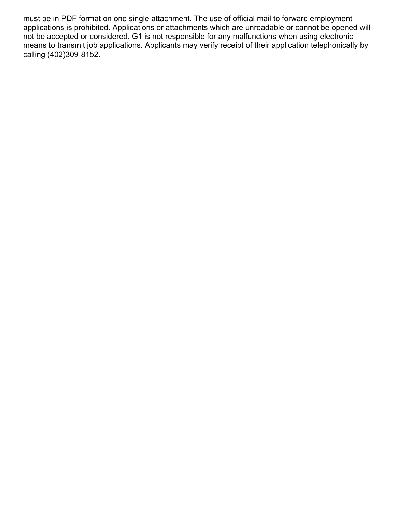must be in PDF format on one single attachment. The use of official mail to forward employment applications is prohibited. Applications or attachments which are unreadable or cannot be opened will not be accepted or considered. G1 is not responsible for any malfunctions when using electronic means to transmit job applications. Applicants may verify receipt of their application telephonically by calling (402)309-8152.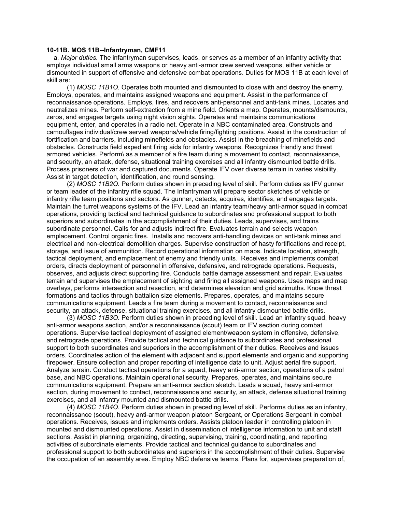## 10-11B. MOS 11B--Infantryman, CMF11

a. Major duties. The infantryman supervises, leads, or serves as a member of an infantry activity that employs individual small arms weapons or heavy anti-armor crew served weapons, either vehicle or dismounted in support of offensive and defensive combat operations. Duties for MOS 11B at each level of skill are:

 (1) MOSC 11B1O. Operates both mounted and dismounted to close with and destroy the enemy. Employs, operates, and maintains assigned weapons and equipment. Assist in the performance of reconnaissance operations. Employs, fires, and recovers anti-personnel and anti-tank mines. Locates and neutralizes mines. Perform self-extraction from a mine field. Orients a map. Operates, mounts/dismounts, zeros, and engages targets using night vision sights. Operates and maintains communications equipment, enter, and operates in a radio net. Operate in a NBC contaminated area. Constructs and camouflages individual/crew served weapons/vehicle firing/fighting positions. Assist in the construction of fortification and barriers, including minefields and obstacles. Assist in the breaching of minefields and obstacles. Constructs field expedient firing aids for infantry weapons. Recognizes friendly and threat armored vehicles. Perform\ as a member of a fire team during a movement to contact, reconnaissance, and security, an attack, defense, situational training exercises and all infantry dismounted battle drills. Process prisoners of war and captured documents. Operate IFV over diverse terrain in varies visibility. Assist in target detection, identification, and round sensing.

 (2) MOSC 11B2O. Perform duties shown in preceding level of skill. Perform duties as IFV gunner or team leader of the infantry rifle squad. The Infantryman will prepare sector sketches of vehicle or infantry rifle team positions and sectors. As gunner, detects, acquires, identifies, and engages targets. Maintain the turret weapons systems of the IFV. Lead an infantry team/heavy anti-armor squad in combat operations, providing tactical and technical guidance to subordinates and professional support to both superiors and subordinates in the accomplishment of their duties. Leads, supervises, and trains subordinate personnel. Calls for and adjusts indirect fire. Evaluates terrain and selects weapon emplacement. Control organic fires. Installs and recovers anti-handling devices on anti-tank mines and electrical and non-electrical demolition charges. Supervise construction of hasty fortifications and receipt, storage, and issue of ammunition. Record operational information on maps. Indicate location, strength, tactical deployment, and emplacement of enemy and friendly units. Receives and implements combat orders, directs deployment of personnel in offensive, defensive, and retrograde operations. Requests, observes, and adjusts direct supporting fire. Conducts battle damage assessment and repair. Evaluates terrain and supervises the emplacement of sighting and firing all assigned weapons. Uses maps and map overlays, performs intersection and resection, and determines elevation and grid azimuths. Know threat formations and tactics through battalion size elements. Prepares, operates, and maintains secure communications equipment. Leads a fire team during a movement to contact, reconnaissance and security, an attack, defense, situational training exercises, and all infantry dismounted battle drills.

 (3) MOSC 11B3O. Perform duties shown in preceding level of skill. Lead an infantry squad, heavy anti-armor weapons section, and/or a reconnaissance (scout) team or IFV section during combat operations. Supervise tactical deployment of assigned element/weapon system in offensive, defensive, and retrograde operations. Provide tactical and technical guidance to subordinates and professional support to both subordinates and superiors in the accomplishment of their duties. Receives and issues orders. Coordinates action of the element with adjacent and support elements and organic and supporting firepower. Ensure collection and proper reporting of intelligence data to unit. Adjust aerial fire support. Analyze terrain. Conduct tactical operations for a squad, heavy anti-armor section, operations of a patrol base, and NBC operations. Maintain operational security. Prepares, operates, and maintains secure communications equipment. Prepare an anti-armor section sketch. Leads a squad, heavy anti-armor section, during movement to contact, reconnaissance and security, an attack, defense situational training exercises, and all infantry mounted and dismounted battle drills.

 (4) MOSC 11B4O. Perform duties shown in preceding level of skill. Performs duties as an infantry, reconnaissance (scout), heavy anti-armor weapon platoon Sergeant, or Operations Sergeant in combat operations. Receives, issues and implements orders. Assists platoon leader in controlling platoon in mounted and dismounted operations. Assist in dissemination of intelligence information to unit and staff sections. Assist in planning, organizing, directing, supervising, training, coordinating, and reporting activities of subordinate elements. Provide tactical and technical guidance to subordinates and professional support to both subordinates and superiors in the accomplishment of their duties. Supervise the occupation of an assembly area. Employ NBC defensive teams. Plans for, supervises preparation of,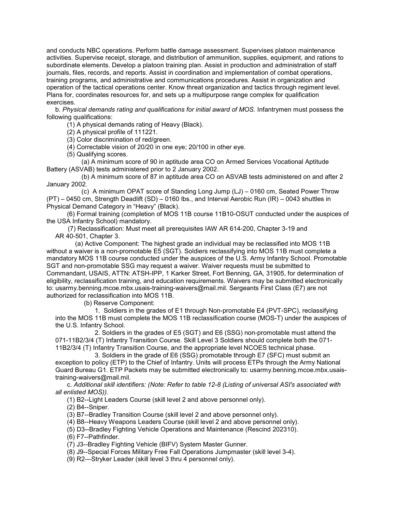and conducts NBC operations. Perform battle damage assessment. Supervises platoon maintenance activities. Supervise receipt, storage, and distribution of ammunition, supplies, equipment, and rations to subordinate elements. Develop a platoon training plan. Assist in production and administration of staff journals, files, records, and reports. Assist in coordination and implementation of combat operations, training programs, and administrative and communications procedures. Assist in organization and operation of the tactical operations center. Know threat organization and tactics through regiment level. Plans for, coordinates resources for, and sets up a multipurpose range complex for qualification exercises.

 b. Physical demands rating and qualifications for initial award of MOS. Infantrymen must possess the following qualifications:

(1) A physical demands rating of Heavy (Black).

(2) A physical profile of 111221.

(3) Color discrimination of red/green.

(4) Correctable vision of 20/20 in one eye; 20/100 in other eye.

(5) Qualifying scores.

 (a) A minimum score of 90 in aptitude area CO on Armed Services Vocational Aptitude Battery (ASVAB) tests administered prior to 2 January 2002.

 (b) A minimum score of 87 in aptitude area CO on ASVAB tests administered on and after 2 January 2002.

 (c) A minimum OPAT score of Standing Long Jump (LJ) – 0160 cm, Seated Power Throw (PT) – 0450 cm, Strength Deadlift (SD) – 0160 lbs., and Interval Aerobic Run (IR) – 0043 shuttles in Physical Demand Category in "Heavy" (Black).

 (6) Formal training (completion of MOS 11B course 11B10-OSUT conducted under the auspices of the USA Infantry School) mandatory.

 (7) Reclassification: Must meet all prerequisites IAW AR 614-200, Chapter 3-19 and AR 40-501, Chapter 3.

 (a) Active Component: The highest grade an individual may be reclassified into MOS 11B without a waiver is a non-promotable E5 (SGT). Soldiers reclassifying into MOS 11B must complete a mandatory MOS 11B course conducted under the auspices of the U.S. Army Infantry School. Promotable SGT and non-promotable SSG may request a waiver. Waiver requests must be submitted to Commandant, USAIS, ATTN: ATSH-IPP, 1 Karker Street, Fort Benning, GA, 31905, for determination of eligibility, reclassification training, and education requirements. Waivers may be submitted electronically to: usarmy.benning.mcoe.mbx.usais-training-waivers@mail.mil. Sergeants First Class (E7) are not authorized for reclassification into MOS 11B.

(b) Reserve Component:

 1. Soldiers in the grades of E1 through Non-promotable E4 (PVT-SPC), reclassifying into the MOS 11B must complete the MOS 11B reclassification course (MOS-T) under the auspices of the U.S. Infantry School.

 2. Soldiers in the grades of E5 (SGT) and E6 (SSG) non-promotable must attend the 071-11B2/3/4 (T) Infantry Transition Course. Skill Level 3 Soldiers should complete both the 071- 11B2/3/4 (T) Infantry Transition Course, and the appropriate level NCOES technical phase.

 3. Soldiers in the grade of E6 (SSG) promotable through E7 (SFC) must submit an exception to policy (ETP) to the Chief of Infantry. Units will process ETPs through the Army National Guard Bureau G1. ETP Packets may be submitted electronically to: usarmy.benning.mcoe.mbx.usaistraining-waivers@mail.mil.

 c. Additional skill identifiers: (Note: Refer to table 12-8 (Listing of universal ASI's associated with all enlisted MOS)).

(1) B2--Light Leaders Course (skill level 2 and above personnel only).

(2) B4--Sniper.

(3) B7--Bradley Transition Course (skill level 2 and above personnel only).

(4) B8--Heavy Weapons Leaders Course (skill level 2 and above personnel only).

(5) D3--Bradley Fighting Vehicle Operations and Maintenance (Rescind 202310).

(6) F7--Pathfinder.

(7) J3--Bradley Fighting Vehicle (BIFV) System Master Gunner.

(8) J9--Special Forces Military Free Fall Operations Jumpmaster (skill level 3-4).

(9) R2—Stryker Leader (skill level 3 thru 4 personnel only).